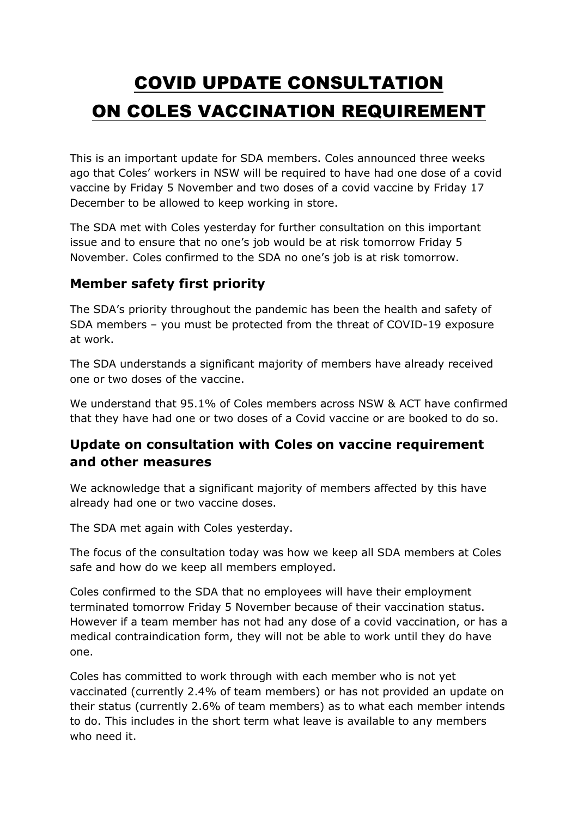# COVID UPDATE CONSULTATION ON COLES VACCINATION REQUIREMENT

This is an important update for SDA members. Coles announced three weeks ago that Coles' workers in NSW will be required to have had one dose of a covid vaccine by Friday 5 November and two doses of a covid vaccine by Friday 17 December to be allowed to keep working in store.

The SDA met with Coles yesterday for further consultation on this important issue and to ensure that no one's job would be at risk tomorrow Friday 5 November. Coles confirmed to the SDA no one's job is at risk tomorrow.

## **Member safety first priority**

The SDA's priority throughout the pandemic has been the health and safety of SDA members – you must be protected from the threat of COVID-19 exposure at work.

The SDA understands a significant majority of members have already received one or two doses of the vaccine.

We understand that 95.1% of Coles members across NSW & ACT have confirmed that they have had one or two doses of a Covid vaccine or are booked to do so.

#### **Update on consultation with Coles on vaccine requirement and other measures**

We acknowledge that a significant majority of members affected by this have already had one or two vaccine doses.

The SDA met again with Coles yesterday.

The focus of the consultation today was how we keep all SDA members at Coles safe and how do we keep all members employed.

Coles confirmed to the SDA that no employees will have their employment terminated tomorrow Friday 5 November because of their vaccination status. However if a team member has not had any dose of a covid vaccination, or has a medical contraindication form, they will not be able to work until they do have one.

Coles has committed to work through with each member who is not yet vaccinated (currently 2.4% of team members) or has not provided an update on their status (currently 2.6% of team members) as to what each member intends to do. This includes in the short term what leave is available to any members who need it.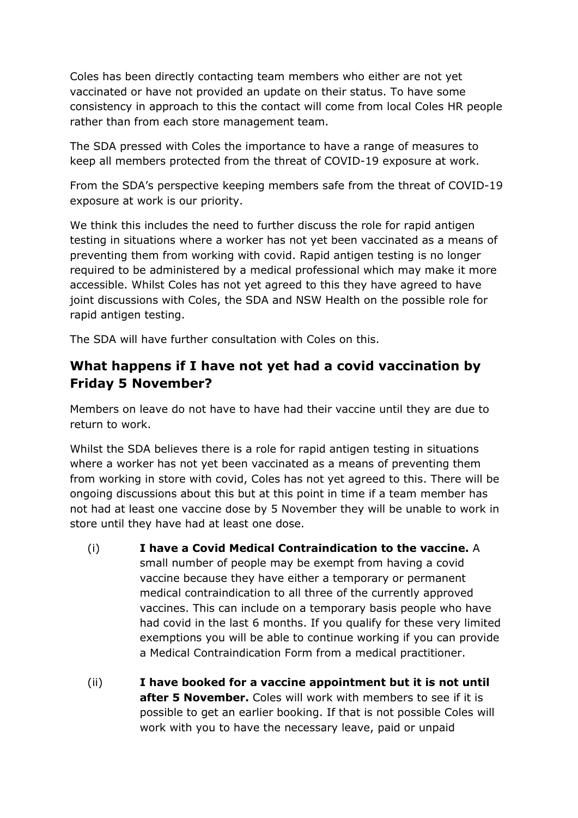Coles has been directly contacting team members who either are not yet vaccinated or have not provided an update on their status. To have some consistency in approach to this the contact will come from local Coles HR people rather than from each store management team.

The SDA pressed with Coles the importance to have a range of measures to keep all members protected from the threat of COVID-19 exposure at work.

From the SDA's perspective keeping members safe from the threat of COVID-19 exposure at work is our priority.

We think this includes the need to further discuss the role for rapid antigen testing in situations where a worker has not yet been vaccinated as a means of preventing them from working with covid. Rapid antigen testing is no longer required to be administered by a medical professional which may make it more accessible. Whilst Coles has not yet agreed to this they have agreed to have joint discussions with Coles, the SDA and NSW Health on the possible role for rapid antigen testing.

The SDA will have further consultation with Coles on this.

## **What happens if I have not yet had a covid vaccination by Friday 5 November?**

Members on leave do not have to have had their vaccine until they are due to return to work.

Whilst the SDA believes there is a role for rapid antigen testing in situations where a worker has not yet been vaccinated as a means of preventing them from working in store with covid, Coles has not yet agreed to this. There will be ongoing discussions about this but at this point in time if a team member has not had at least one vaccine dose by 5 November they will be unable to work in store until they have had at least one dose.

- (i) **I have a Covid Medical Contraindication to the vaccine.** A small number of people may be exempt from having a covid vaccine because they have either a temporary or permanent medical contraindication to all three of the currently approved vaccines. This can include on a temporary basis people who have had covid in the last 6 months. If you qualify for these very limited exemptions you will be able to continue working if you can provide a Medical Contraindication Form from a medical practitioner.
- (ii) **I have booked for a vaccine appointment but it is not until after 5 November.** Coles will work with members to see if it is possible to get an earlier booking. If that is not possible Coles will work with you to have the necessary leave, paid or unpaid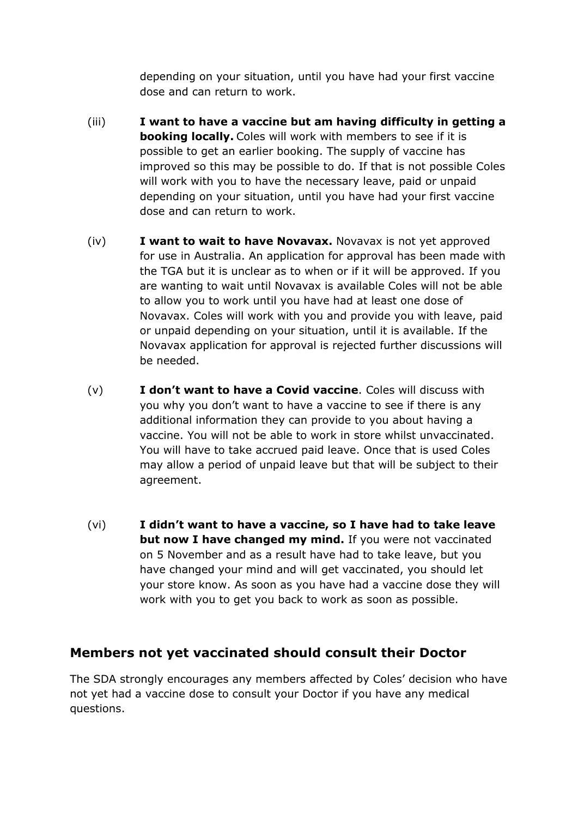depending on your situation, until you have had your first vaccine dose and can return to work.

- (iii) **I want to have a vaccine but am having difficulty in getting a booking locally.** Coles will work with members to see if it is possible to get an earlier booking. The supply of vaccine has improved so this may be possible to do. If that is not possible Coles will work with you to have the necessary leave, paid or unpaid depending on your situation, until you have had your first vaccine dose and can return to work.
- (iv) **I want to wait to have Novavax.** Novavax is not yet approved for use in Australia. An application for approval has been made with the TGA but it is unclear as to when or if it will be approved. If you are wanting to wait until Novavax is available Coles will not be able to allow you to work until you have had at least one dose of Novavax. Coles will work with you and provide you with leave, paid or unpaid depending on your situation, until it is available. If the Novavax application for approval is rejected further discussions will be needed.
- (v) **I don't want to have a Covid vaccine**. Coles will discuss with you why you don't want to have a vaccine to see if there is any additional information they can provide to you about having a vaccine. You will not be able to work in store whilst unvaccinated. You will have to take accrued paid leave. Once that is used Coles may allow a period of unpaid leave but that will be subject to their agreement.
- (vi) **I didn't want to have a vaccine, so I have had to take leave but now I have changed my mind.** If you were not vaccinated on 5 November and as a result have had to take leave, but you have changed your mind and will get vaccinated, you should let your store know. As soon as you have had a vaccine dose they will work with you to get you back to work as soon as possible.

#### **Members not yet vaccinated should consult their Doctor**

The SDA strongly encourages any members affected by Coles' decision who have not yet had a vaccine dose to consult your Doctor if you have any medical questions.